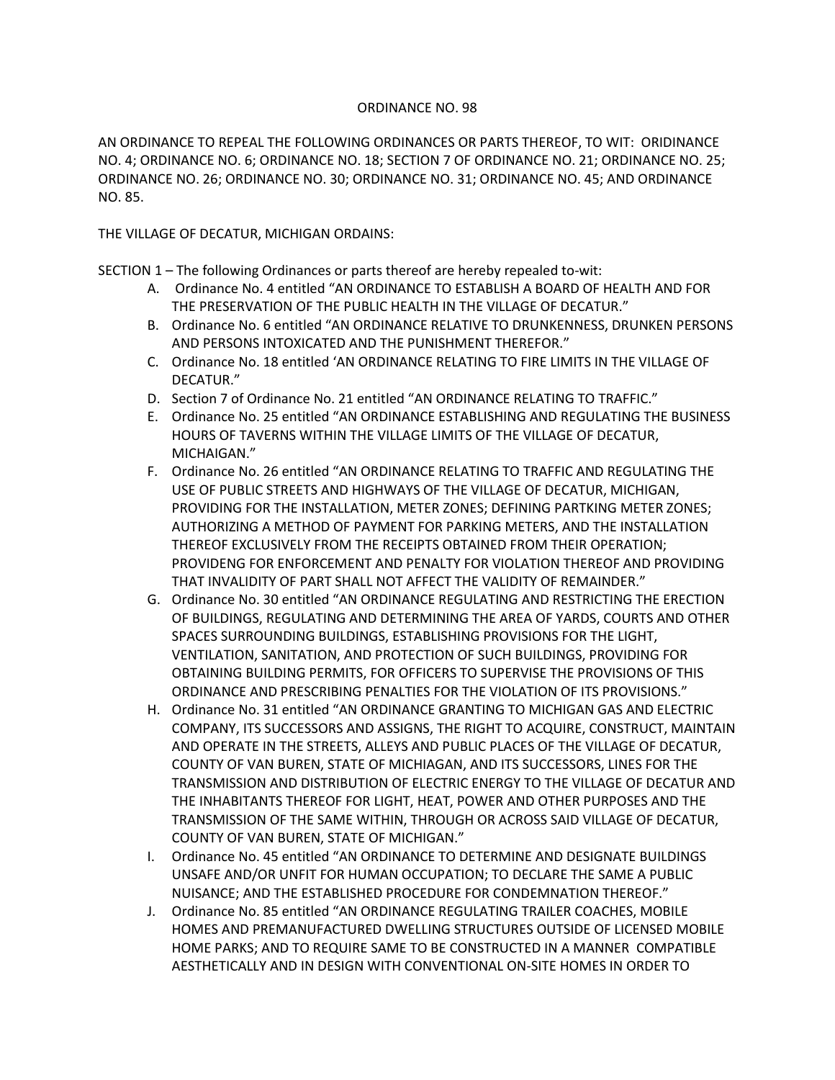## ORDINANCE NO. 98

AN ORDINANCE TO REPEAL THE FOLLOWING ORDINANCES OR PARTS THEREOF, TO WIT: ORIDINANCE NO. 4; ORDINANCE NO. 6; ORDINANCE NO. 18; SECTION 7 OF ORDINANCE NO. 21; ORDINANCE NO. 25; ORDINANCE NO. 26; ORDINANCE NO. 30; ORDINANCE NO. 31; ORDINANCE NO. 45; AND ORDINANCE NO. 85.

THE VILLAGE OF DECATUR, MICHIGAN ORDAINS:

SECTION 1 – The following Ordinances or parts thereof are hereby repealed to-wit:

- A. Ordinance No. 4 entitled "AN ORDINANCE TO ESTABLISH A BOARD OF HEALTH AND FOR THE PRESERVATION OF THE PUBLIC HEALTH IN THE VILLAGE OF DECATUR."
- B. Ordinance No. 6 entitled "AN ORDINANCE RELATIVE TO DRUNKENNESS, DRUNKEN PERSONS AND PERSONS INTOXICATED AND THE PUNISHMENT THEREFOR."
- C. Ordinance No. 18 entitled 'AN ORDINANCE RELATING TO FIRE LIMITS IN THE VILLAGE OF DECATUR."
- D. Section 7 of Ordinance No. 21 entitled "AN ORDINANCE RELATING TO TRAFFIC."
- E. Ordinance No. 25 entitled "AN ORDINANCE ESTABLISHING AND REGULATING THE BUSINESS HOURS OF TAVERNS WITHIN THE VILLAGE LIMITS OF THE VILLAGE OF DECATUR, MICHAIGAN."
- F. Ordinance No. 26 entitled "AN ORDINANCE RELATING TO TRAFFIC AND REGULATING THE USE OF PUBLIC STREETS AND HIGHWAYS OF THE VILLAGE OF DECATUR, MICHIGAN, PROVIDING FOR THE INSTALLATION, METER ZONES; DEFINING PARTKING METER ZONES; AUTHORIZING A METHOD OF PAYMENT FOR PARKING METERS, AND THE INSTALLATION THEREOF EXCLUSIVELY FROM THE RECEIPTS OBTAINED FROM THEIR OPERATION; PROVIDENG FOR ENFORCEMENT AND PENALTY FOR VIOLATION THEREOF AND PROVIDING THAT INVALIDITY OF PART SHALL NOT AFFECT THE VALIDITY OF REMAINDER."
- G. Ordinance No. 30 entitled "AN ORDINANCE REGULATING AND RESTRICTING THE ERECTION OF BUILDINGS, REGULATING AND DETERMINING THE AREA OF YARDS, COURTS AND OTHER SPACES SURROUNDING BUILDINGS, ESTABLISHING PROVISIONS FOR THE LIGHT, VENTILATION, SANITATION, AND PROTECTION OF SUCH BUILDINGS, PROVIDING FOR OBTAINING BUILDING PERMITS, FOR OFFICERS TO SUPERVISE THE PROVISIONS OF THIS ORDINANCE AND PRESCRIBING PENALTIES FOR THE VIOLATION OF ITS PROVISIONS."
- H. Ordinance No. 31 entitled "AN ORDINANCE GRANTING TO MICHIGAN GAS AND ELECTRIC COMPANY, ITS SUCCESSORS AND ASSIGNS, THE RIGHT TO ACQUIRE, CONSTRUCT, MAINTAIN AND OPERATE IN THE STREETS, ALLEYS AND PUBLIC PLACES OF THE VILLAGE OF DECATUR, COUNTY OF VAN BUREN, STATE OF MICHIAGAN, AND ITS SUCCESSORS, LINES FOR THE TRANSMISSION AND DISTRIBUTION OF ELECTRIC ENERGY TO THE VILLAGE OF DECATUR AND THE INHABITANTS THEREOF FOR LIGHT, HEAT, POWER AND OTHER PURPOSES AND THE TRANSMISSION OF THE SAME WITHIN, THROUGH OR ACROSS SAID VILLAGE OF DECATUR, COUNTY OF VAN BUREN, STATE OF MICHIGAN."
- I. Ordinance No. 45 entitled "AN ORDINANCE TO DETERMINE AND DESIGNATE BUILDINGS UNSAFE AND/OR UNFIT FOR HUMAN OCCUPATION; TO DECLARE THE SAME A PUBLIC NUISANCE; AND THE ESTABLISHED PROCEDURE FOR CONDEMNATION THEREOF."
- J. Ordinance No. 85 entitled "AN ORDINANCE REGULATING TRAILER COACHES, MOBILE HOMES AND PREMANUFACTURED DWELLING STRUCTURES OUTSIDE OF LICENSED MOBILE HOME PARKS; AND TO REQUIRE SAME TO BE CONSTRUCTED IN A MANNER COMPATIBLE AESTHETICALLY AND IN DESIGN WITH CONVENTIONAL ON-SITE HOMES IN ORDER TO